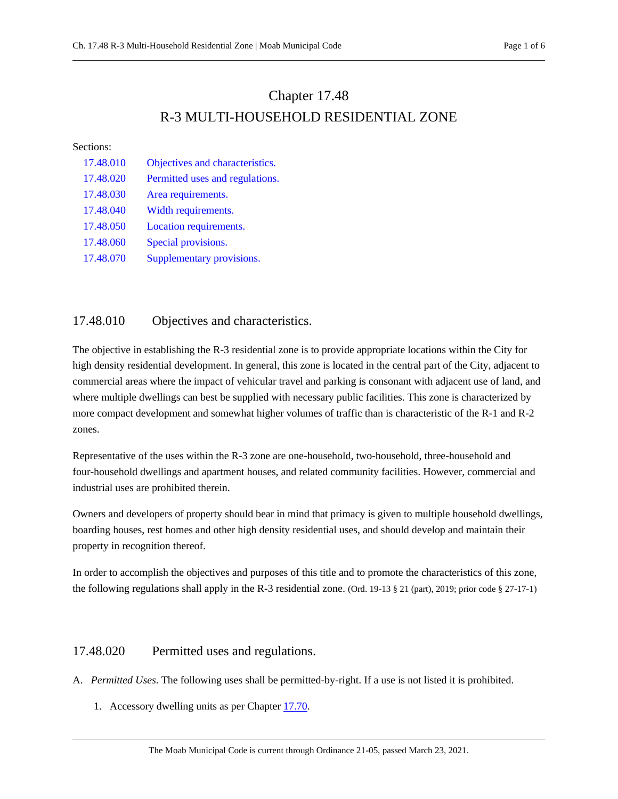# Chapter 17.48 R-3 MULTI-HOUSEHOLD RESIDENTIAL ZONE

#### Sections:

| 17.48.010 | Objectives and characteristics. |
|-----------|---------------------------------|
| 17.48.020 | Permitted uses and regulations. |
| 17.48.030 | Area requirements.              |
| 17.48.040 | Width requirements.             |
| 17.48.050 | Location requirements.          |
| 17.48.060 | Special provisions.             |
| 17.48.070 | Supplementary provisions.       |

# <span id="page-0-0"></span>17.48.010 Objectives and characteristics.

The objective in establishing the R-3 residential zone is to provide appropriate locations within the City for high density residential development. In general, this zone is located in the central part of the City, adjacent to commercial areas where the impact of vehicular travel and parking is consonant with adjacent use of land, and where multiple dwellings can best be supplied with necessary public facilities. This zone is characterized by more compact development and somewhat higher volumes of traffic than is characteristic of the R-1 and R-2 zones.

Representative of the uses within the R-3 zone are one-household, two-household, three-household and four-household dwellings and apartment houses, and related community facilities. However, commercial and industrial uses are prohibited therein.

Owners and developers of property should bear in mind that primacy is given to multiple household dwellings, boarding houses, rest homes and other high density residential uses, and should develop and maintain their property in recognition thereof.

In order to accomplish the objectives and purposes of this title and to promote the characteristics of this zone, the following regulations shall apply in the R-3 residential zone. (Ord. 19-13 § 21 (part), 2019; prior code § 27-17-1)

# <span id="page-0-1"></span>17.48.020 Permitted uses and regulations.

- A. *Permitted Uses.* The following uses shall be permitted-by-right. If a use is not listed it is prohibited.
	- 1. Accessory dwelling units as per Chapter [17.70.](https://moab.municipal.codes/Code/17.70)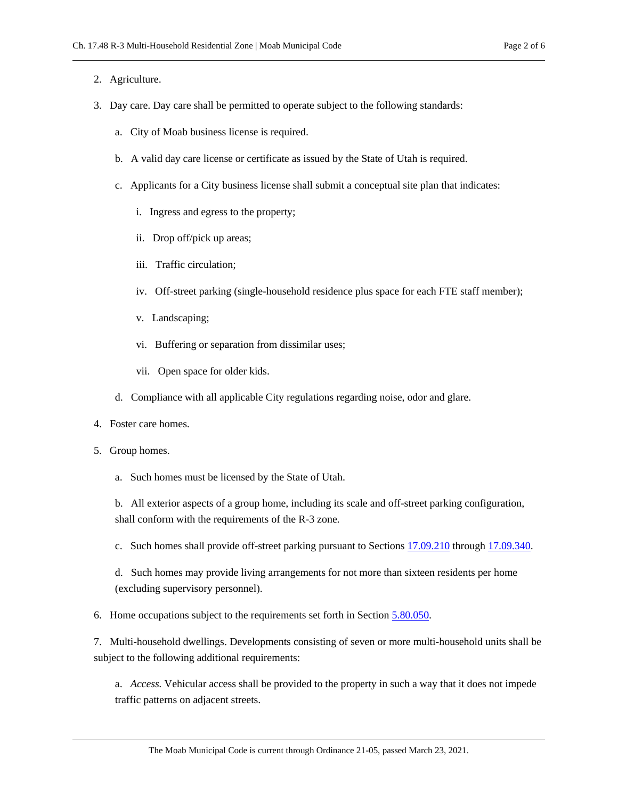#### 2. Agriculture.

- 3. Day care. Day care shall be permitted to operate subject to the following standards:
	- a. City of Moab business license is required.
	- b. A valid day care license or certificate as issued by the State of Utah is required.
	- c. Applicants for a City business license shall submit a conceptual site plan that indicates:
		- i. Ingress and egress to the property;
		- ii. Drop off/pick up areas;
		- iii. Traffic circulation;
		- iv. Off-street parking (single-household residence plus space for each FTE staff member);
		- v. Landscaping;
		- vi. Buffering or separation from dissimilar uses;
		- vii. Open space for older kids.
	- d. Compliance with all applicable City regulations regarding noise, odor and glare.
- 4. Foster care homes.
- 5. Group homes.
	- a. Such homes must be licensed by the State of Utah.

b. All exterior aspects of a group home, including its scale and off-street parking configuration, shall conform with the requirements of the R-3 zone.

c. Such homes shall provide off-street parking pursuant to Section[s 17.09.210](https://moab.municipal.codes/Code/17.09.210) throug[h 17.09.340.](https://moab.municipal.codes/Code/17.09.340)

d. Such homes may provide living arrangements for not more than sixteen residents per home (excluding supervisory personnel).

6. Home occupations subject to the requirements set forth in Section [5.80.050.](https://moab.municipal.codes/Code/5.80.050)

7. Multi-household dwellings. Developments consisting of seven or more multi-household units shall be subject to the following additional requirements:

a. *Access.* Vehicular access shall be provided to the property in such a way that it does not impede traffic patterns on adjacent streets.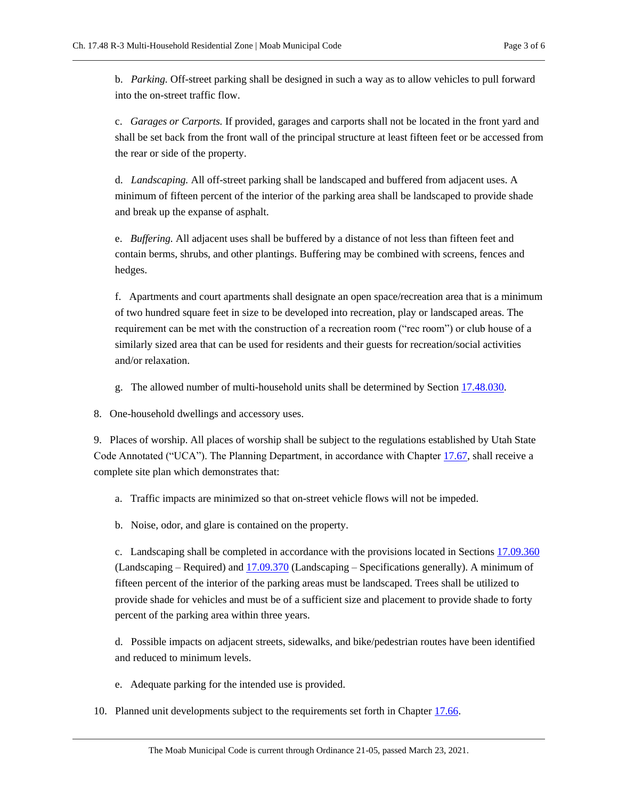b. *Parking.* Off-street parking shall be designed in such a way as to allow vehicles to pull forward into the on-street traffic flow.

c. *Garages or Carports.* If provided, garages and carports shall not be located in the front yard and shall be set back from the front wall of the principal structure at least fifteen feet or be accessed from the rear or side of the property.

d. *Landscaping.* All off-street parking shall be landscaped and buffered from adjacent uses. A minimum of fifteen percent of the interior of the parking area shall be landscaped to provide shade and break up the expanse of asphalt.

e. *Buffering.* All adjacent uses shall be buffered by a distance of not less than fifteen feet and contain berms, shrubs, and other plantings. Buffering may be combined with screens, fences and hedges.

f. Apartments and court apartments shall designate an open space/recreation area that is a minimum of two hundred square feet in size to be developed into recreation, play or landscaped areas. The requirement can be met with the construction of a recreation room ("rec room") or club house of a similarly sized area that can be used for residents and their guests for recreation/social activities and/or relaxation.

- g. The allowed number of multi-household units shall be determined by Section [17.48.030.](#page-3-0)
- 8. One-household dwellings and accessory uses.

9. Places of worship. All places of worship shall be subject to the regulations established by Utah State Code Annotated ("UCA"). The Planning Department, in accordance with Chapter [17.67,](https://moab.municipal.codes/Code/17.67) shall receive a complete site plan which demonstrates that:

- a. Traffic impacts are minimized so that on-street vehicle flows will not be impeded.
- b. Noise, odor, and glare is contained on the property.

c. Landscaping shall be completed in accordance with the provisions located in Section[s 17.09.360](https://moab.municipal.codes/Code/17.09.360) (Landscaping – Required) and [17.09.370](https://moab.municipal.codes/Code/17.09.370) (Landscaping – Specifications generally). A minimum of fifteen percent of the interior of the parking areas must be landscaped. Trees shall be utilized to provide shade for vehicles and must be of a sufficient size and placement to provide shade to forty percent of the parking area within three years.

d. Possible impacts on adjacent streets, sidewalks, and bike/pedestrian routes have been identified and reduced to minimum levels.

- e. Adequate parking for the intended use is provided.
- 10. Planned unit developments subject to the requirements set forth in Chapte[r 17.66.](https://moab.municipal.codes/Code/17.66)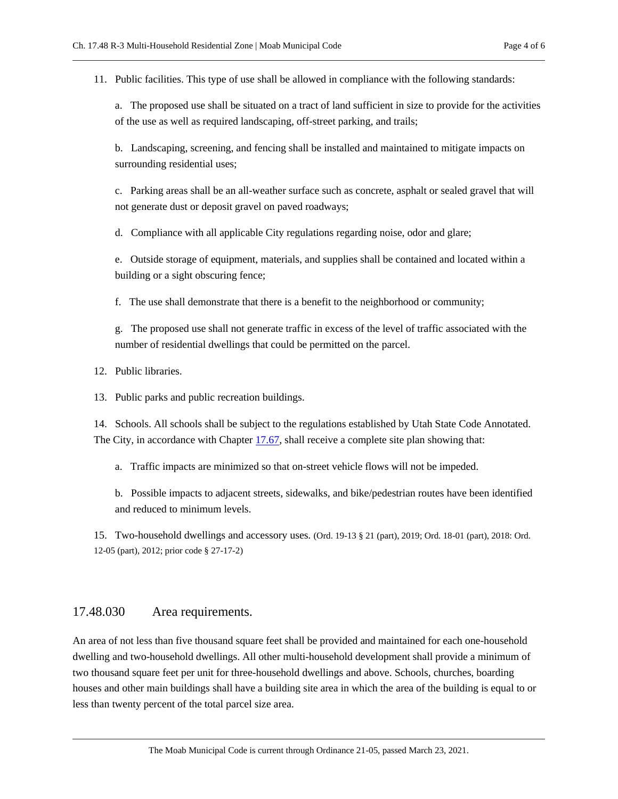11. Public facilities. This type of use shall be allowed in compliance with the following standards:

a. The proposed use shall be situated on a tract of land sufficient in size to provide for the activities of the use as well as required landscaping, off-street parking, and trails;

b. Landscaping, screening, and fencing shall be installed and maintained to mitigate impacts on surrounding residential uses;

c. Parking areas shall be an all-weather surface such as concrete, asphalt or sealed gravel that will not generate dust or deposit gravel on paved roadways;

d. Compliance with all applicable City regulations regarding noise, odor and glare;

e. Outside storage of equipment, materials, and supplies shall be contained and located within a building or a sight obscuring fence;

f. The use shall demonstrate that there is a benefit to the neighborhood or community;

g. The proposed use shall not generate traffic in excess of the level of traffic associated with the number of residential dwellings that could be permitted on the parcel.

12. Public libraries.

13. Public parks and public recreation buildings.

14. Schools. All schools shall be subject to the regulations established by Utah State Code Annotated. The City, in accordance with Chapter [17.67,](https://moab.municipal.codes/Code/17.67) shall receive a complete site plan showing that:

a. Traffic impacts are minimized so that on-street vehicle flows will not be impeded.

b. Possible impacts to adjacent streets, sidewalks, and bike/pedestrian routes have been identified and reduced to minimum levels.

15. Two-household dwellings and accessory uses. (Ord. 19-13 § 21 (part), 2019; Ord. 18-01 (part), 2018: Ord. 12-05 (part), 2012; prior code § 27-17-2)

## <span id="page-3-0"></span>17.48.030 Area requirements.

An area of not less than five thousand square feet shall be provided and maintained for each one-household dwelling and two-household dwellings. All other multi-household development shall provide a minimum of two thousand square feet per unit for three-household dwellings and above. Schools, churches, boarding houses and other main buildings shall have a building site area in which the area of the building is equal to or less than twenty percent of the total parcel size area.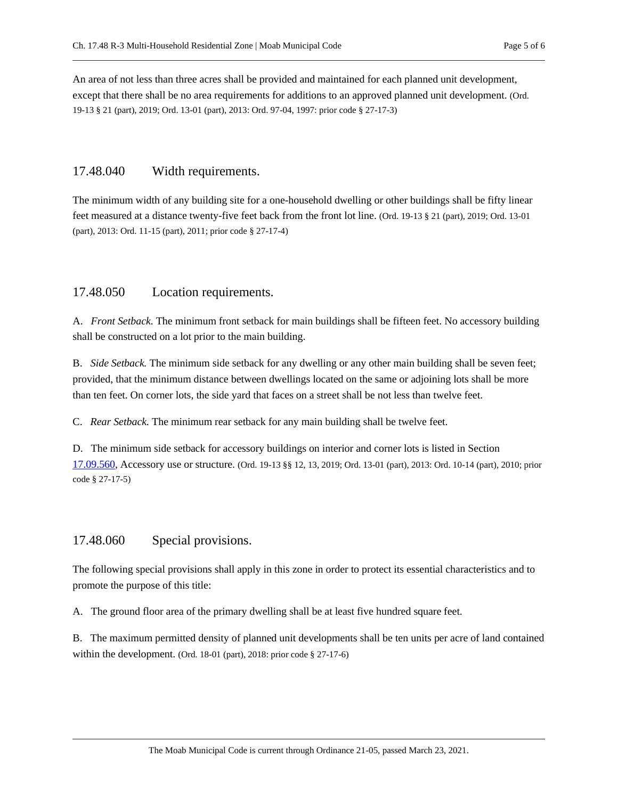An area of not less than three acres shall be provided and maintained for each planned unit development, except that there shall be no area requirements for additions to an approved planned unit development. (Ord. 19-13 § 21 (part), 2019; Ord. 13-01 (part), 2013: Ord. 97-04, 1997: prior code § 27-17-3)

## <span id="page-4-0"></span>17.48.040 Width requirements.

The minimum width of any building site for a one-household dwelling or other buildings shall be fifty linear feet measured at a distance twenty-five feet back from the front lot line. (Ord. 19-13 § 21 (part), 2019; Ord. 13-01 (part), 2013: Ord. 11-15 (part), 2011; prior code § 27-17-4)

### <span id="page-4-1"></span>17.48.050 Location requirements.

A. *Front Setback.* The minimum front setback for main buildings shall be fifteen feet. No accessory building shall be constructed on a lot prior to the main building.

B. *Side Setback.* The minimum side setback for any dwelling or any other main building shall be seven feet; provided, that the minimum distance between dwellings located on the same or adjoining lots shall be more than ten feet. On corner lots, the side yard that faces on a street shall be not less than twelve feet.

C. *Rear Setback.* The minimum rear setback for any main building shall be twelve feet.

D. The minimum side setback for accessory buildings on interior and corner lots is listed in Section [17.09.560,](https://moab.municipal.codes/Code/17.09.560) Accessory use or structure. (Ord. 19-13 §§ 12, 13, 2019; Ord. 13-01 (part), 2013: Ord. 10-14 (part), 2010; prior code § 27-17-5)

## <span id="page-4-2"></span>17.48.060 Special provisions.

The following special provisions shall apply in this zone in order to protect its essential characteristics and to promote the purpose of this title:

A. The ground floor area of the primary dwelling shall be at least five hundred square feet.

B. The maximum permitted density of planned unit developments shall be ten units per acre of land contained within the development. (Ord. 18-01 (part), 2018: prior code § 27-17-6)